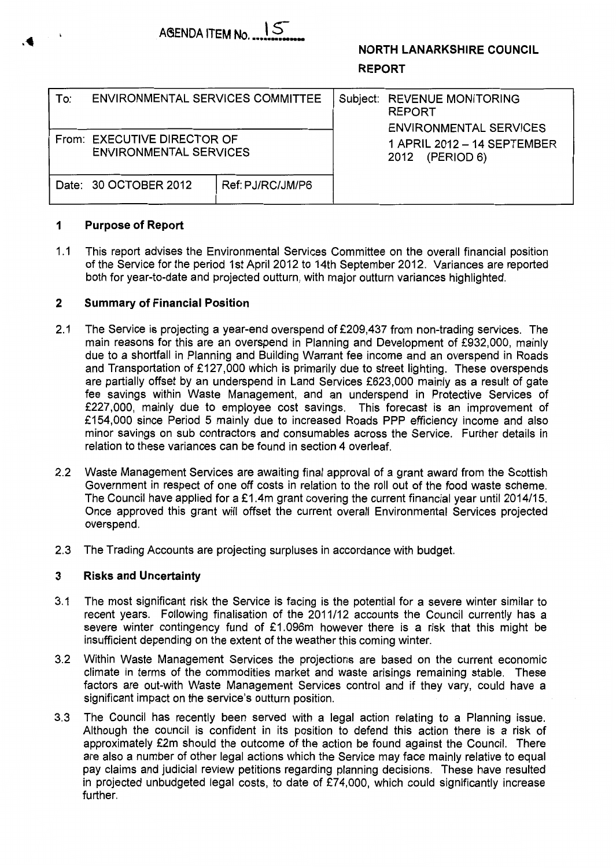

# **NORTH LANARKSHIRE COUNCIL**

### **REPORT**

| To: | <b>ENVIRONMENTAL SERVICES COMMITTEE</b>                      |                  | Subject: REVENUE MONITORING<br><b>REPORT</b><br><b>ENVIRONMENTAL SERVICES</b> |
|-----|--------------------------------------------------------------|------------------|-------------------------------------------------------------------------------|
|     | From: EXECUTIVE DIRECTOR OF<br><b>ENVIRONMENTAL SERVICES</b> |                  | 1 APRIL 2012 - 14 SEPTEMBER<br>(PERIOD 6)<br>2012                             |
|     | Date: 30 OCTOBER 2012                                        | Ref: PJ/RC/JM/P6 |                                                                               |

### **1 Purpose of Report**

1 .I This report advises the Environmental Services Committee on the overall financial position of the Service for the period 1st April 2012 to 14th September 2012. Variances are reported both for year-to-date and projected outturn, with major outturn variances highlighted.

### **2 Summary of Financial Position**

- 2.1 The Service is projecting a year-end overspend of £209,437 from non-trading services. The main reasons for this are an overspend in Planning and Development of €932,000, mainly due to a shortfall in Planning and Building Warrant fee income and an overspend in Roads and Transportation of £127,000 which is primarily due to street lighting. These overspends are partially offset by an underspend in Land Services €623,000 mainly as a result of gate fee savings within Waste Management, and an underspend in Protective Services of €227,000, mainly due to employee cost savings. This forecast is an improvement of €154,000 since Period *5* mainly due to increased Roads PPP efficiency income and also minor savings on sub contractors and consumables across the Service. Further details in relation to these variances can be found in section 4 overleaf.
- 2.2 Waste Management Services are awaiting final approval of a grant award from the Scottish Government in respect of one off costs in relation to the roll out of the food waste scheme. The Council have applied for a £1.4m grant covering the current financial year until 2014/15. Once approved this grant will offset the current overall Environmental Services projected overspend.
- 2.3 The Trading Accounts are projecting surpluses in accordance with budget.

### **3 Risks and Uncertainty**

- 3.1 The most significant risk the Service is facing is the potential for a severe winter similar to recent years. Following finalisation of the 2011/12 accounts the Council currently has a severe winter contingency fund of  $£1.096m$  however there is a risk that this might be insufficient depending on the extent of the weather this coming winter.
- Within Waste Management Services the projections are based on the current economic climate in terms of the commodities market and waste arisings remaining stable. These factors are out-with Waste Management Services control and if they vary, could have a significant impact on the service's outturn position. 3.2
- The Council has recently been served with a legal action relating to a Planning issue. Although the council is confident in its position to defend this action there is a risk of approximately £2m should the outcome of the action be found against the Council. There are also a number of other legal actions which the Service may face mainly relative to equal pay claims and judicial review petitions regarding planning decisions. These have resulted in projected unbudgeted legal costs, to date of €74,000, which could significantly increase further. 3.3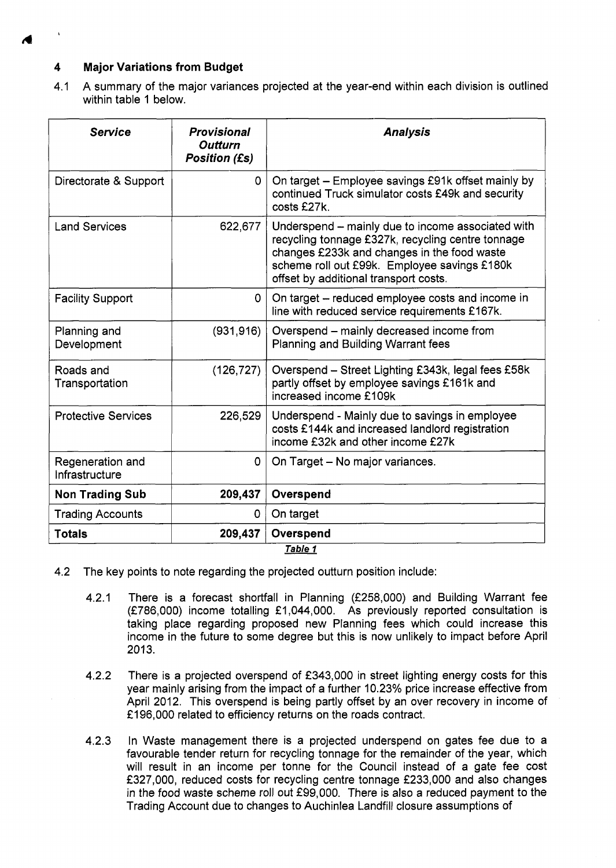## **4 Major Variations from Budget**

| $\mathbf{v}$                                    |                                                              |                                                                                                                                                                                                                                                |  |  |  |  |  |
|-------------------------------------------------|--------------------------------------------------------------|------------------------------------------------------------------------------------------------------------------------------------------------------------------------------------------------------------------------------------------------|--|--|--|--|--|
| <b>Major Variations from Budget</b><br>4<br>4.1 |                                                              | A summary of the major variances projected at the year-end within each division is outlined                                                                                                                                                    |  |  |  |  |  |
| within table 1 below.                           |                                                              |                                                                                                                                                                                                                                                |  |  |  |  |  |
| <b>Service</b>                                  | <b>Provisional</b><br><b>Outturn</b><br><b>Position (£s)</b> | <b>Analysis</b>                                                                                                                                                                                                                                |  |  |  |  |  |
| Directorate & Support                           | 0                                                            | On target - Employee savings £91k offset mainly by<br>continued Truck simulator costs £49k and security<br>costs £27k.                                                                                                                         |  |  |  |  |  |
| <b>Land Services</b>                            | 622,677                                                      | Underspend – mainly due to income associated with<br>recycling tonnage £327k, recycling centre tonnage<br>changes £233k and changes in the food waste<br>scheme roll out £99k. Employee savings £180k<br>offset by additional transport costs. |  |  |  |  |  |
| <b>Facility Support</b>                         | 0                                                            | On target – reduced employee costs and income in<br>line with reduced service requirements £167k.                                                                                                                                              |  |  |  |  |  |
| Planning and<br>Development                     | (931, 916)                                                   | Overspend – mainly decreased income from<br>Planning and Building Warrant fees                                                                                                                                                                 |  |  |  |  |  |
| Roads and<br>Transportation                     | (126, 727)                                                   | Overspend - Street Lighting £343k, legal fees £58k<br>partly offset by employee savings £161k and<br>increased income £109k                                                                                                                    |  |  |  |  |  |
| <b>Protective Services</b>                      | 226,529                                                      | Underspend - Mainly due to savings in employee<br>costs £144k and increased landlord registration<br>income £32k and other income £27k                                                                                                         |  |  |  |  |  |
| Regeneration and<br>Infrastructure              | $\mathbf{O}$                                                 | On Target - No major variances.                                                                                                                                                                                                                |  |  |  |  |  |
| <b>Non Trading Sub</b>                          | 209,437                                                      | Overspend                                                                                                                                                                                                                                      |  |  |  |  |  |
| <b>Trading Accounts</b>                         | 0                                                            | On target                                                                                                                                                                                                                                      |  |  |  |  |  |
| <b>Totals</b>                                   | 209,437                                                      | Overspend                                                                                                                                                                                                                                      |  |  |  |  |  |

- 4.2 The key points to note regarding the projected outturn position include:
	- 4.2.1 There is a forecast shortfall in Planning (€258,000) and Building Warrant fee (€786,000) income totalling €1,044,000. As previously reported consultation is taking place regarding proposed new Planning fees which could increase this income in the future to some degree but this is now unlikely to impact before April 2013.
	- 4.2.2 There is a projected overspend of £343,000 in street lighting energy costs for this year mainly arising from the impact of a further 10.23% price increase effective from April 2012. This overspend is being partly offset by an over recovery in income of £196,000 related to efficiency returns on the roads contract.
	- 4.2.3 In Waste management there is a projected underspend on gates fee due to a favourable tender return for recycling tonnage for the remainder of the year, which will result in an income per tonne for the Council instead of a gate fee cost €327,000, reduced costs for recycling centre tonnage €233,000 and also changes in the food waste scheme roll out €99,000. There is also a reduced payment to the Trading Account due to changes to Auchinlea Landfill closure assumptions of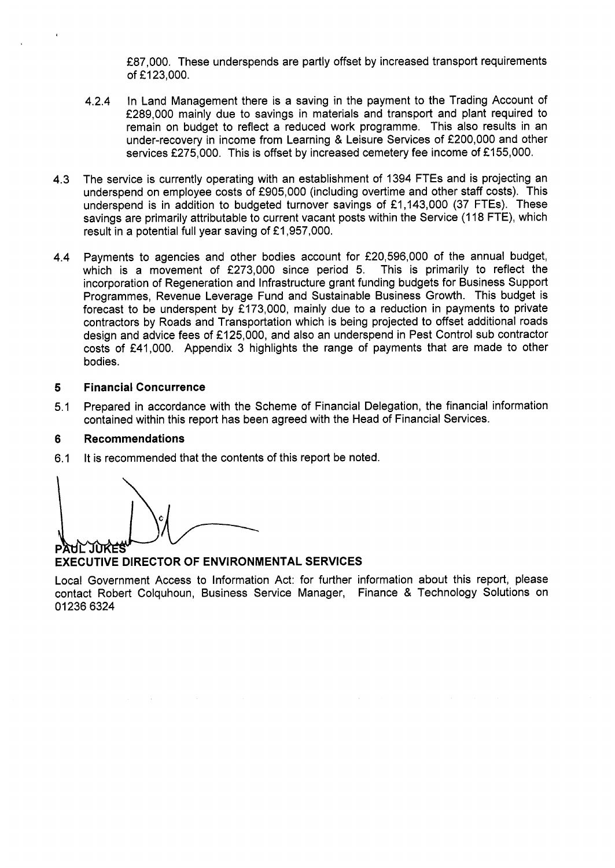£87,000. These underspends are partly offset by increased transport requirements of £123,000.

- 4.2.4 In Land Management there is a saving in the payment to the Trading Account of £289,000 mainly due to savings in materials and transport and plant required to remain on budget to reflect a reduced work programme. This also results in an under-recovery in income from Learning & Leisure Services of €200,000 and other services £275,000. This is offset by increased cemetery fee income of £155,000.
- 4.3 The service is currently operating with an establishment of 1394 FTEs and is projecting an underspend on employee costs of €905,000 (including overtime and other staff costs). This underspend is in addition to budgeted turnover savings of €1,143,000 (37 FTEs). These savings are primarily attributable to current vacant posts within the Service (118 FTE), which result in a potential full year saving of €1,957,000.
- 4.4 Payments to agencies and other bodies account for €20,596,000 of the annual budget, which is a movement of £273,000 since period 5. This is primarily to reflect the incorporation of Regeneration and Infrastructure grant funding budgets for Business Support Programmes, Revenue Leverage Fund and Sustainable Business Growth. This budget is forecast to be underspent by f173,000, mainly due to a reduction in payments to private contractors by Roads and Transportation which is being projected to offset additional roads design and advice fees of €125,000, and also an underspend in Pest Control sub contractor costs of €41,000. Appendix 3 highlights the range of payments that are made to other bodies.

#### **5 Financial Concurrence**

5.1 Prepared in accordance with the Scheme of Financial Delegation, the financial information contained within this report has been agreed with the Head of Financial Services.

#### **6 Recommendations**

6.1 It is recommended that the contents of this report be noted.

JÙKES p

### **EXECUTIVE DIRECTOR OF ENVIRONMENTAL SERVICES**

Local Government Access to Information Act: for further information about this report, please contact Robert Colquhoun, Business Service Manager, Finance & Technology Solutions on 01 236 6324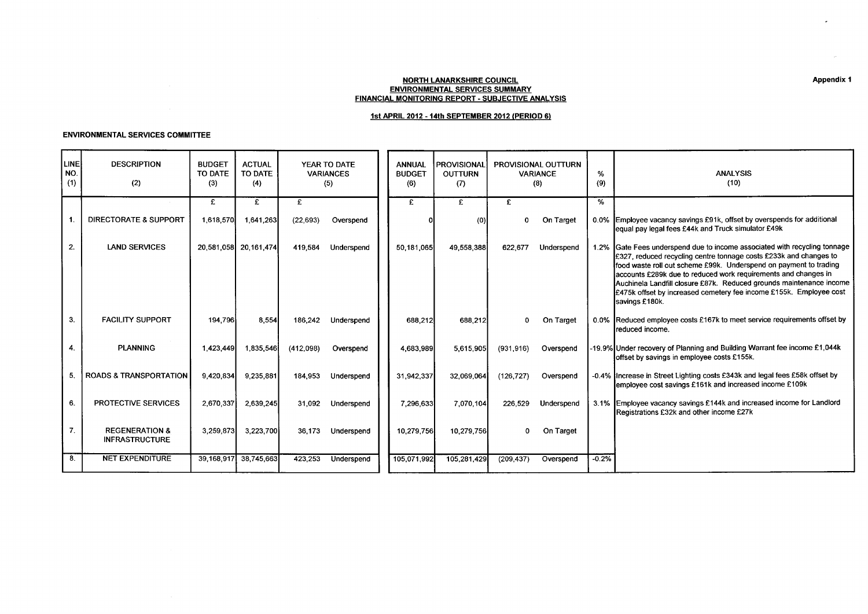#### NORTH LANARKSHIRE COUNCIL ENVIRONMENTAL SERVICES SUMMARY FINANCIAL MONITORING REPORT - SUBJECTIVE ANALYSIS

### **1st** APRIL **2012** - **14th** SEPTEMBER **2012** (PERIOD **61**

#### ENVIRONMENTAL SERVICES COMMITTEE

|                    |                                                                              |                                 |                                              |                                         |                                         |                                       |                                       |                                                          |          | <b>Contractor</b>                                                                                                                                                                                                                                                                                                                                                                                                                                    |
|--------------------|------------------------------------------------------------------------------|---------------------------------|----------------------------------------------|-----------------------------------------|-----------------------------------------|---------------------------------------|---------------------------------------|----------------------------------------------------------|----------|------------------------------------------------------------------------------------------------------------------------------------------------------------------------------------------------------------------------------------------------------------------------------------------------------------------------------------------------------------------------------------------------------------------------------------------------------|
|                    |                                                                              |                                 |                                              |                                         |                                         |                                       | <b>NORTH LANARKSHIRE COUNCIL</b>      |                                                          |          | Appendix 1                                                                                                                                                                                                                                                                                                                                                                                                                                           |
|                    |                                                                              |                                 |                                              |                                         |                                         |                                       | <b>ENVIRONMENTAL SERVICES SUMMARY</b> | <b>FINANCIAL MONITORING REPORT - SUBJECTIVE ANALYSIS</b> |          |                                                                                                                                                                                                                                                                                                                                                                                                                                                      |
|                    | <b>ENVIRONMENTAL SERVICES COMMITTEE</b>                                      |                                 |                                              |                                         |                                         |                                       |                                       | 1st APRIL 2012 - 14th SEPTEMBER 2012 (PERIOD 6)          |          |                                                                                                                                                                                                                                                                                                                                                                                                                                                      |
| LINE<br>NO.<br>(1) | <b>DESCRIPTION</b><br>(2)                                                    | <b>BUDGET</b><br>TO DATE<br>(3) | <b>ACTUAL</b><br>TO DATE<br>(4)              | YEAR TO DATE<br><b>VARIANCES</b><br>(5) |                                         | <b>ANNUAL</b><br><b>BUDGET</b><br>(6) | PROVISIONAL<br>OUTTURN<br>(7)         | PROVISIONAL OUTTURN<br>VARIANCE<br>(8)                   | %<br>(9) | <b>ANALYSIS</b><br>(10)                                                                                                                                                                                                                                                                                                                                                                                                                              |
| - 1.               | <b>DIRECTORATE &amp; SUPPORT</b>                                             | £                               | £<br>1,618,570 1,641,263                     | E<br>(22,693) Overspend                 |                                         | £.                                    | £<br>(0                               | E<br>0 On Target                                         | %        | 0.0% Employee vacancy savings £91k, offset by overspends for additional<br>equal pay legal fees £44k and Truck simulator £49k                                                                                                                                                                                                                                                                                                                        |
| 2.                 | <b>LAND SERVICES</b>                                                         |                                 | 20,581,058 20,161,474                        | 419,584 Underspend                      |                                         | 50,181,065                            | 49,558,388                            | 622,677 Underspend                                       |          | 1.2% Gate Fees underspend due to income associated with recycling tonnage<br>£327, reduced recycling centre tonnage costs £233k and changes to<br>food waste roll out scheme £99k. Underspend on payment to trading<br>accounts £289k due to reduced work requirements and changes in<br>Auchinela Landfill closure £87k. Reduced grounds maintenance income<br>£475k offset by increased cemetery fee income £155k. Employee cost<br>savings £180k. |
| 3                  | <b>FACILITY SUPPORT</b>                                                      | 194,796                         | 8,554                                        |                                         | 186,242 Underspend                      | 688,212                               | 688,212                               |                                                          |          | 0 On Target 0.0% Reduced employee costs £167k to meet service requirements offset by<br>reduced income.                                                                                                                                                                                                                                                                                                                                              |
| 4.<br>5.           | PLANNING<br><b>ROADS &amp; TRANSPORTATION</b>                                | 1,423,449<br>9,420,834          | 1,835,546<br>9,235,881                       | (412,098)                               | Overspend<br>184,953 Underspend         | 4,683,989<br>31,942,337               | 5,615,905<br>32,069,064               | (126,727) Overspend                                      |          | (931,916) Overspend 19.9% Under recovery of Planning and Building Warrant fee income £1,044k<br>offset by savings in employee costs £155k.<br>-0.4% Increase in Street Lighting costs £343k and legal fees £58k offset by                                                                                                                                                                                                                            |
| 6.                 | PROTECTIVE SERVICES                                                          |                                 | 2,670,337 2,639,245                          |                                         | 31,092 Underspend                       | 7,296,633                             | 7,070,104                             |                                                          |          | employee cost savings £161k and increased income £109k<br>226,529 Underspend 3.1% Employee vacancy savings £144k and increased income for Landlord<br>Registrations £32k and other income £27k                                                                                                                                                                                                                                                       |
| $\overline{7}$ .   | <b>REGENERATION &amp;</b><br><b>INFRASTRUCTURE</b><br><b>NET EXPENDITURE</b> |                                 | 3,259,873 3,223,700<br>39,168,917 38,745,663 |                                         | 36,173 Underspend<br>423,253 Underspend | 10,279,756<br>105,071,992             | 10,279,756                            | 0 On Target<br>(209,437) Overspend -0.2%                 |          |                                                                                                                                                                                                                                                                                                                                                                                                                                                      |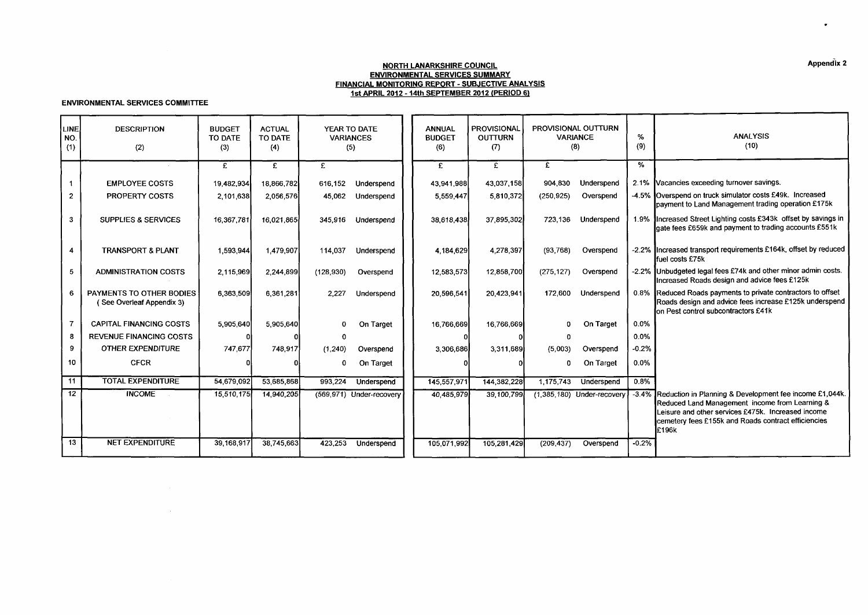#### **NORTH LANARKSHIRE COUNCIL ENVIRONMENTAL SERVICES SUMMARY FINANCIAL MONITORING REPORT** - **SUBJECTIVE ANALYSIS 1st APRIL 2012** - **14th SEPTEMBER 2012 (PERIOD 61**

#### **ENVIRONMENTAL SERVICES COMMITTEE**

|                     | Appendix 2<br><b>NORTH LANARKSHIRE COUNCIL</b><br><b>ENVIRONMENTAL SERVICES SUMMARY</b><br>FINANCIAL MONITORING REPORT - SUBJECTIVE ANALYSIS<br>1st APRIL 2012 - 14th SEPTEMBER 2012 (PERIOD 6) |                                                                    |            |              |                                         |                                       |                                             |                                               |                              |          |                                                                                                                                                                                                                                 |  |  |
|---------------------|-------------------------------------------------------------------------------------------------------------------------------------------------------------------------------------------------|--------------------------------------------------------------------|------------|--------------|-----------------------------------------|---------------------------------------|---------------------------------------------|-----------------------------------------------|------------------------------|----------|---------------------------------------------------------------------------------------------------------------------------------------------------------------------------------------------------------------------------------|--|--|
|                     | <b>ENVIRONMENTAL SERVICES COMMITTEE</b>                                                                                                                                                         |                                                                    |            |              |                                         |                                       |                                             |                                               |                              |          |                                                                                                                                                                                                                                 |  |  |
| LINE.<br>NO.<br>(1) | <b>DESCRIPTION</b><br>(2)                                                                                                                                                                       | <b>ACTUAL</b><br><b>BUDGET</b><br>TO DATE<br>TO DATE<br>(3)<br>(4) |            |              | YEAR TO DATE<br><b>VARIANCES</b><br>(5) | <b>ANNUAL</b><br><b>BUDGET</b><br>(6) | <b>PROVISIONAL</b><br><b>OUTTURN</b><br>(7) | PROVISIONAL OUTTURN<br><b>VARIANCE</b><br>(8) |                              | %<br>(9) | <b>ANALYSIS</b><br>(10)                                                                                                                                                                                                         |  |  |
|                     |                                                                                                                                                                                                 | £                                                                  | £          | $\mathbf{f}$ |                                         | £                                     | $\overline{f}$                              | £                                             |                              | %        |                                                                                                                                                                                                                                 |  |  |
|                     | <b>EMPLOYEE COSTS</b>                                                                                                                                                                           | 19,482,934                                                         | 18,866,782 | 616,152      | Underspend                              | 43,941,988                            | 43.037.158                                  | 904.830                                       | Underspend                   |          | 2.1% Vacancies exceeding turnover savings.                                                                                                                                                                                      |  |  |
| $\mathbf{2}$        | PROPERTY COSTS                                                                                                                                                                                  | 2,101,638                                                          | 2,056,576  | 45.062       | Underspend                              | 5,559,447                             | 5,810,372                                   | (250, 925)                                    | Overspend                    |          | -4.5% Overspend on truck simulator costs £49k. Increased<br>payment to Land Management trading operation £175k                                                                                                                  |  |  |
| 3                   | <b>SUPPLIES &amp; SERVICES</b>                                                                                                                                                                  | 16,367,781                                                         | 16.021.865 | 345,916      | Underspend                              | 38,618,438                            | 37,895,302                                  | 723,136                                       | Underspend                   |          | 1.9% Increased Street Lighting costs £343k offset by savings in<br>gate fees £659k and payment to trading accounts £551k                                                                                                        |  |  |
| 4                   | <b>TRANSPORT &amp; PLANT</b>                                                                                                                                                                    | 1,593,944                                                          | 1,479,907  | 114,037      | Underspend                              | 4,184,629                             | 4,278,397                                   | (93, 768)                                     | Overspend                    |          | -2.2% Increased transport requirements £164k, offset by reduced<br>fuel costs £75k                                                                                                                                              |  |  |
| 5                   | <b>ADMINISTRATION COSTS</b>                                                                                                                                                                     | 2.115.969                                                          | 2,244,899  | (128, 930)   | Overspend                               | 12,583,573                            | 12,858,700                                  | (275, 127)                                    | Overspend                    |          | -2.2% Unbudgeted legal fees £74k and other minor admin costs.<br>Increased Roads design and advice fees £125k                                                                                                                   |  |  |
| 6                   | PAYMENTS TO OTHER BODIES<br>(See Overleaf Appendix 3)                                                                                                                                           | 6,363,509                                                          | 6,361,281  | 2.227        | Underspend                              | 20,596,541                            | 20.423,941                                  | 172.600                                       | Underspend                   |          | 0.8% Reduced Roads payments to private contractors to offset<br>Roads design and advice fees increase £125k underspend<br>on Pest control subcontractors £41k                                                                   |  |  |
| $\overline{7}$      | <b>CAPITAL FINANCING COSTS</b>                                                                                                                                                                  | 5,905,640                                                          | 5,905,640  | 0            | On Target                               | 16,766,669                            | 16,766,669                                  |                                               | On Target                    | 0.0%     |                                                                                                                                                                                                                                 |  |  |
| 8                   | <b>REVENUE FINANCING COSTS</b>                                                                                                                                                                  |                                                                    |            | $\Omega$     |                                         | n                                     |                                             | $\Omega$                                      |                              | 0.0%     |                                                                                                                                                                                                                                 |  |  |
| 9                   | <b>OTHER EXPENDITURE</b>                                                                                                                                                                        | 747,677                                                            | 748,917    | (1, 240)     | Overspend                               | 3,306,686                             | 3.311,689                                   | (5,003)                                       | Overspend                    | $-0.2%$  |                                                                                                                                                                                                                                 |  |  |
| 10                  | <b>CFCR</b>                                                                                                                                                                                     |                                                                    |            | $\mathbf 0$  | On Target                               |                                       |                                             | 0                                             | On Target                    | 0.0%     |                                                                                                                                                                                                                                 |  |  |
| 11                  | <b>TOTAL EXPENDITURE</b>                                                                                                                                                                        | 54,679,092                                                         | 53,685,868 | 993,224      | Underspend                              | 145,557,971                           | 144,382,228                                 | 1,175,743                                     | Underspend                   | $0.8\%$  |                                                                                                                                                                                                                                 |  |  |
| 12                  | <b>INCOME</b>                                                                                                                                                                                   | 15,510,175                                                         | 14,940,205 |              | (569,971) Under-recovery                | 40,485,979                            | 39,100,799                                  |                                               | $(1,385,180)$ Under-recovery | $-3.4%$  | Reduction in Planning & Development fee income £1,044k.<br>Reduced Land Management income from Learning &<br>Leisure and other services £475k. Increased income<br>cemetery fees £155k and Roads contract efficiencies<br>E196k |  |  |
| 13                  | <b>NET EXPENDITURE</b>                                                                                                                                                                          | 39,168,917                                                         | 38,745,663 | 423,253      | Underspend                              | 105,071,992                           | 105,281,429                                 | (209, 437)                                    | Overspend                    | $-0.2%$  |                                                                                                                                                                                                                                 |  |  |
|                     |                                                                                                                                                                                                 |                                                                    |            |              |                                         |                                       |                                             |                                               |                              |          |                                                                                                                                                                                                                                 |  |  |

 $\bullet$